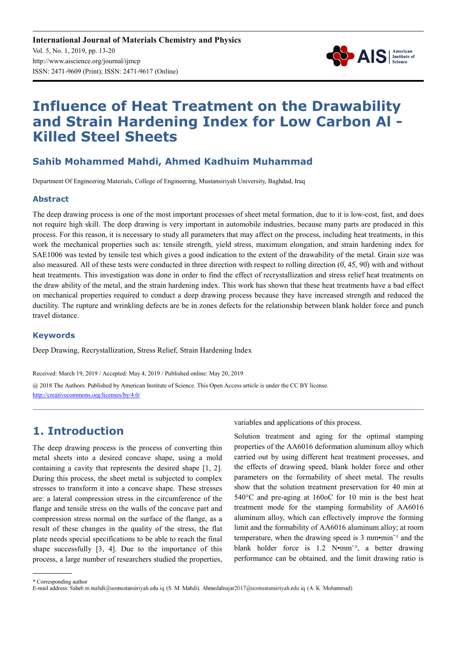

# **Influence of Heat Treatment on the Drawability and Strain Hardening Index for Low Carbon Al - Killed Steel Sheets**

# **Sahib Mohammed Mahdi, Ahmed Kadhuim Muhammad**

Department Of Engineering Materials, College of Engineering, Mustansiriyah University, Baghdad, Iraq

### **Abstract**

The deep drawing process is one of the most important processes of sheet metal formation, due to it is low-cost, fast, and does not require high skill. The deep drawing is very important in automobile industries, because many parts are produced in this process. For this reason, it is necessary to study all parameters that may affect on the process, including heat treatments, in this work the mechanical properties such as: tensile strength, yield stress, maximum elongation, and strain hardening index for SAE1006 was tested by tensile test which gives a good indication to the extent of the drawability of the metal. Grain size was also measured. All of these tests were conducted in three direction with respect to rolling direction  $(0, 45, 90)$  with and without heat treatments. This investigation was done in order to find the effect of recrystallization and stress relief heat treatments on the draw ability of the metal, and the strain hardening index. This work has shown that these heat treatments have a bad effect on mechanical properties required to conduct a deep drawing process because they have increased strength and reduced the ductility. The rupture and wrinkling defects are be in zones defects for the relationship between blank holder force and punch travel distance.

### **Keywords**

Deep Drawing, Recrystallization, Stress Relief, Strain Hardening Index

Received: March 19, 2019 / Accepted: May 4, 2019 / Published online: May 20, 2019 @ 2018 The Authors. Published by American Institute of Science. This Open Access article is under the CC BY license.

http://creativecommons.org/licenses/by/4.0/

# **1. Introduction**

The deep drawing process is the process of converting thin metal sheets into a desired concave shape, using a mold containing a cavity that represents the desired shape [1, 2]. During this process, the sheet metal is subjected to complex stresses to transform it into a concave shape. These stresses are: a lateral compression stress in the circumference of the flange and tensile stress on the walls of the concave part and compression stress normal on the surface of the flange, as a result of these changes in the quality of the stress, the flat plate needs special specifications to be able to reach the final shape successfully [3, 4]. Due to the importance of this process, a large number of researchers studied the properties,

variables and applications of this process.

Solution treatment and aging for the optimal stamping properties of the AA6016 deformation aluminum alloy which carried out by using different heat treatment processes, and the effects of drawing speed, blank holder force and other parameters on the formability of sheet metal. The results show that the solution treatment preservation for 40 min at 540°C and pre-aging at 160oC for 10 min is the best heat treatment mode for the stamping formability of AA6016 aluminum alloy, which can effectively improve the forming limit and the formability of AA6016 aluminum alloy; at room temperature, when the drawing speed is  $3 \text{ mm} \cdot \text{min}^{-1}$  and the blank holder force is  $1.2$  N•mm<sup>-2</sup>, a better drawing performance can be obtained, and the limit drawing ratio is

<sup>\*</sup> Corresponding author

E-mail address: Saheb.m.mahdi@uomustansiriyah.edu.iq (S. M. Mahdi), Ahmedalnajar2017@uomustansiriyah.edu.iq (A. K. Muhammad)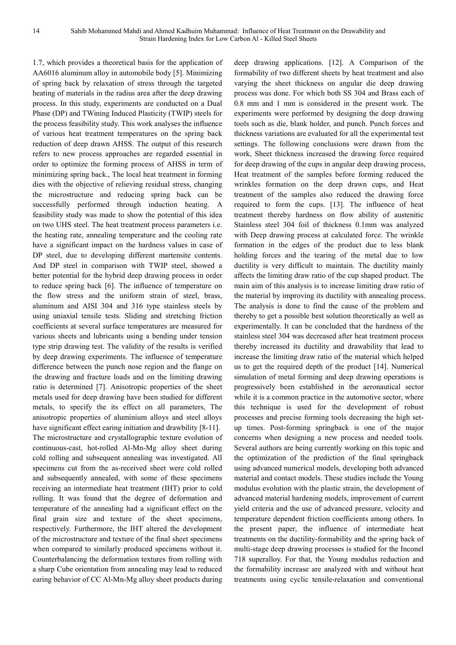1.7, which provides a theoretical basis for the application of AA6016 aluminum alloy in automobile body [5]. Minimizing of spring back by relaxation of stress through the targeted heating of materials in the radius area after the deep drawing process. In this study, experiments are conducted on a Dual Phase (DP) and TWining Induced Plasticity (TWIP) steels for the process feasibility study. This work analyses the influence of various heat treatment temperatures on the spring back reduction of deep drawn AHSS. The output of this research refers to new process approaches are regarded essential in order to optimize the forming process of AHSS in term of minimizing spring back., The local heat treatment in forming dies with the objective of relieving residual stress, changing the microstructure and reducing spring back can be successfully performed through induction heating. A feasibility study was made to show the potential of this idea on two UHS steel. The heat treatment process parameters i.e. the heating rate, annealing temperature and the cooling rate have a significant impact on the hardness values in case of DP steel, due to developing different martensite contents. And DP steel in comparison with TWIP steel, showed a better potential for the hybrid deep drawing process in order to reduce spring back [6]. The influence of temperature on the flow stress and the uniform strain of steel, brass, aluminum and AISI 304 and 316 type stainless steels by using uniaxial tensile tests. Sliding and stretching friction coefficients at several surface temperatures are measured for various sheets and lubricants using a bending under tension type strip drawing test. The validity of the results is verified by deep drawing experiments. The influence of temperature difference between the punch nose region and the flange on the drawing and fracture loads and on the limiting drawing ratio is determined [7]. Anisotropic properties of the sheet metals used for deep drawing have been studied for different metals, to specify the its effect on all parameters, The anisotropic properties of aluminium alloys and steel alloys have significant effect earing initiation and drawbility [8-11]. The microstructure and crystallographic texture evolution of continuous-cast, hot-rolled Al-Mn-Mg alloy sheet during cold rolling and subsequent annealing was investigated. All specimens cut from the as-received sheet were cold rolled and subsequently annealed, with some of these specimens receiving an intermediate heat treatment (IHT) prior to cold rolling. It was found that the degree of deformation and temperature of the annealing had a significant effect on the final grain size and texture of the sheet specimens, respectively. Furthermore, the IHT altered the development of the microstructure and texture of the final sheet specimens when compared to similarly produced specimens without it. Counterbalancing the deformation textures from rolling with a sharp Cube orientation from annealing may lead to reduced earing behavior of CC Al-Mn-Mg alloy sheet products during

deep drawing applications. [12]. A Comparison of the formability of two different sheets by heat treatment and also varying the sheet thickness on angular die deep drawing process was done. For which both SS 304 and Brass each of 0.8 mm and 1 mm is considered in the present work. The experiments were performed by designing the deep drawing tools such as die, blank holder, and punch. Punch forces and thickness variations are evaluated for all the experimental test settings. The following conclusions were drawn from the work, Sheet thickness increased the drawing force required for deep drawing of the cups in angular deep drawing process, Heat treatment of the samples before forming reduced the wrinkles formation on the deep drawn cups, and Heat treatment of the samples also reduced the drawing force required to form the cups. [13]. The influence of heat treatment thereby hardness on flow ability of austenitic Stainless steel 304 foil of thickness 0.1mm was analyzed with Deep drawing process at calculated force. The wrinkle formation in the edges of the product due to less blank holding forces and the tearing of the metal due to low ductility is very difficult to maintain. The ductility mainly affects the limiting draw ratio of the cup shaped product. The main aim of this analysis is to increase limiting draw ratio of the material by improving its ductility with annealing process. The analysis is done to find the cause of the problem and thereby to get a possible best solution theoretically as well as experimentally. It can be concluded that the hardness of the stainless steel 304 was decreased after heat treatment process thereby increased its ductility and drawability that lead to increase the limiting draw ratio of the material which helped us to get the required depth of the product [14]. Numerical simulation of metal forming and deep drawing operations is progressively been established in the aeronautical sector while it is a common practice in the automotive sector, where this technique is used for the development of robust processes and precise forming tools decreasing the high setup times. Post-forming springback is one of the major concerns when designing a new process and needed tools. Several authors are being currently working on this topic and the optimization of the prediction of the final springback using advanced numerical models, developing both advanced material and contact models. These studies include the Young modulus evolution with the plastic strain, the development of advanced material hardening models, improvement of current yield criteria and the use of advanced pressure, velocity and temperature dependent friction coefficients among others. In the present paper, the influence of intermediate heat treatments on the ductility-formability and the spring back of multi-stage deep drawing processes is studied for the Inconel 718 superalloy. For that, the Young modulus reduction and the formability increase are analyzed with and without heat treatments using cyclic tensile-relaxation and conventional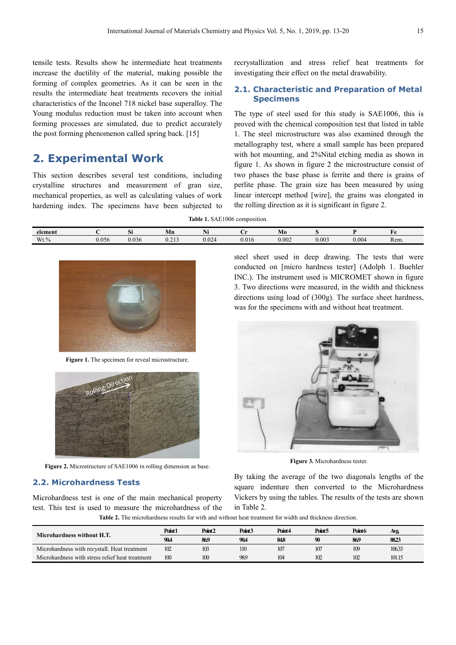tensile tests. Results show he intermediate heat treatments increase the ductility of the material, making possible the forming of complex geometries. As it can be seen in the results the intermediate heat treatments recovers the initial characteristics of the Inconel 718 nickel base superalloy. The Young modulus reduction must be taken into account when forming processes are simulated, due to predict accurately the post forming phenomenon called spring back. [15]

# **2. Experimental Work**

This section describes several test conditions, including crystalline structures and measurement of gran size, mechanical properties, as well as calculating values of work hardening index. The specimens have been subjected to recrystallization and stress relief heat treatments for investigating their effect on the metal drawability.

#### **2.1. Characteristic and Preparation of Metal Specimens**

The type of steel used for this study is SAE1006, this is proved with the chemical composition test that listed in table 1. The steel microstructure was also examined through the metallography test, where a small sample has been prepared with hot mounting, and 2%Nital etching media as shown in 1. The steel microstructure was also examined through the metallography test, where a small sample has been prepared with hot mounting, and 2%Nital etching media as shown in figure 1. As shown in figure 2 the microstructur two phases the base phase is ferrite and there is grains of perlite phase. The grain size has been measured by using linear intercept method [wire] , the grains was elongated in the rolling direction as it is significant in fi figure 2.

**Table 1.** SAE1006 composition.

| element  |       | $\sim$<br>IJΠ | Mn                        | $\mathbf{v}$<br>141 | . .   | Mo    |       |       | нΛ   |
|----------|-------|---------------|---------------------------|---------------------|-------|-------|-------|-------|------|
| $Wt. \%$ | 0.056 | 0.036         | $\sim$ $\sim$<br><u>.</u> | 0.024               | 0.016 | 0.002 | 0.003 | 0.004 | Rem. |



Figure 1. The specimen for reveal microstructure.



Figure 2. Microstructure of SAE1006 in rolling dimension as base.

### **2.2. Microhardness Tests**

Microhardness test is one of the main mechanical property test. This test is used to measure the microhardness of the steel sheet used in deep drawing. The tests that were conducted on [micro hardness tes tester] (Adolph 1. Buehler INC.). The instrument used is MICROMET shown in f figure 3. Two directions were measured, measured, in the width and thickness directions using load of (300g). The surface sheet hardness, was for the specimens with and without heat treatment.



**Figure 3.** Microhardness tester.

By taking the average of the two diagonals lengths of the square indenture then converted to the Microhardness Vickers by using the tables. The results of the tests are shown in Table 2.

Table 2. The microhardness results for with and without heat treatment for width and thickness direction.

| Microhardness without H.T.                      | Point1 | Point <sub>2</sub> | Point <sub>3</sub> | Point4 | Point5 | Point <sub>6</sub> | Avg.   |
|-------------------------------------------------|--------|--------------------|--------------------|--------|--------|--------------------|--------|
|                                                 | 90.4   | 869                | 90.4               | 848    | 90     | 869                | 8823   |
| Microhardness with recystall. Heat treatment    | 102    | 103                | 110                | 107    | 107    | 109                | 10633  |
| Microhardness with stress relief heat treatment | 100    | 100                | 98.9               | 104    | 102    | 102                | 101.15 |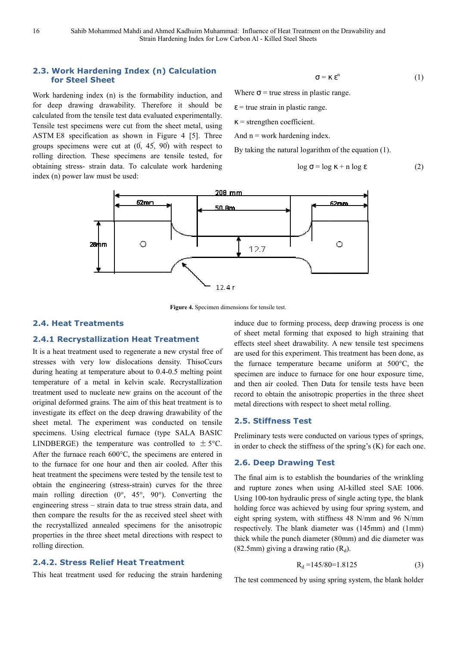### **2.3. Work Hardening Index (n) Calculation for Steel Sheet**

Work hardening index (n) is the formability induction, and for deep drawing drawability. Therefore it should be calculated from the tensile test data evaluated experimentally. Tensile test specimens were cut from the sheet metal, using ASTM E8 specification as shown in Figure 4 [5]. Three groups specimens were cut at  $(0, 45, 90)$  with respect to rolling direction. These specimens are tensile tested, for obtaining stress- strain data. To calculate work hardening index (n) power law must be used:

$$
\sigma = \kappa \, \varepsilon^n \tag{1}
$$

Where  $\sigma$  = true stress in plastic range.

 $\epsilon$  = true strain in plastic range.

 $\kappa$  = strengthen coefficient.

And  $n = work hardening index$ .

By taking the natural logarithm of the equation (1).

$$
\log \sigma = \log \kappa + n \log \varepsilon \tag{2}
$$



**Figure 4.** Specimen dimensions for tensile test.

### **2.4. Heat Treatments**

#### **2.4.1 Recrystallization Heat Treatment**

It is a heat treatment used to regenerate a new crystal free of stresses with very low dislocations density. ThisoCcurs during heating at temperature about to 0.4-0.5 melting point temperature of a metal in kelvin scale. Recrystallization treatment used to nucleate new grains on the account of the original deformed grains. The aim of this heat treatment is to investigate its effect on the deep drawing drawability of the sheet metal. The experiment was conducted on tensile specimens. Using electrical furnace (type SALA BASIC LINDBERGE) the temperature was controlled to  $\pm$  5°C. After the furnace reach  $600^{\circ}$ C, the specimens are entered in to the furnace for one hour and then air cooled. After this heat treatment the specimens were tested by the tensile test to obtain the engineering (stress-strain) curves for the three obtain the engineering (stress-strain) curves for the three main rolling direction  $(0^{\circ}, 45^{\circ}, 90^{\circ})$ . Converting the engineering stress - strain data to true stress strain data, and then compare the results for the as received steel sheet with the recrystallized annealed specimens for the anisotropic the recrystallized annealed specimens for the anisotropic<br>properties in the three sheet metal directions with respect to rolling direction.

#### **2.4.2. Stress Relief Heat Treatment**

This heat treatment used for reducing the strain hardening

induce due to forming process, deep drawing process is one of sheet metal forming that exposed to high straining that effects steel sheet drawability. A new tensile test specimens are used for this experiment. This treatment has been done, as the furnace temperature became uniform at  $500^{\circ}$ C, the specimen are induce to furnace for one hour exposure time, and then air cooled. Then Data for tensile tests have been record to obtain the anisotropic properties in the three sheet metal directions with respect to sheet metal rolling pecimen are induce to furnace for one hour expo<br>nd then air cooled. Then Data for tensile tests I<br>ecord to obtain the anisotropic properties in the t<br>netal directions with respect to sheet metal rolling.

#### **2.5. Stiffness Test**

Preliminary tests were conducted on various types of springs, in order to check the stiffness of the spring's (K) for each one.

#### **2.6. Deep Drawing Test**

The final aim is to establish the boundaries of the wrinkling and rupture zones when using Al Al-killed steel SAE 1006. Using 100-ton hydraulic press of single acting type, the blank holding force was achieved by using four spring system, and eight spring system, with stiffness 48 N/mm and 96 N/mm respectively. The blank diameter was (145mm) and (1mm) thick while the punch diameter (80mm) and die diameter was thick while the punch diameter (80mm)<br>(82.5mm) giving a drawing ratio  $(R_d)$ .

$$
R_d = 145/80 = 1.8125 \tag{3}
$$

The test commenced by using spring system, the blank holder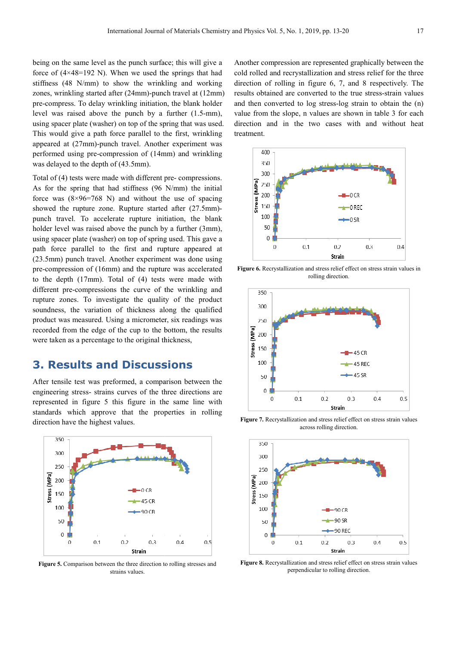being on the same level as the punch surface; this will give a force of  $(4 \times 48 = 192)$  N). When we used the springs that had stiffness (48 N/mm) to show the wrinkling and working zones, wrinkling started after (24mm)-punch travel at (12mm) pre-compress. To delay wrinkling initiation, the blank holder level was raised above the punch by a further (1.5-mm), pre-compress. To delay wrinkling initiation, the blank holder level was raised above the punch by a further (1.5 using spacer plate (washer) on top of the spring that was used. This would give a path force parallel to the first, wrinkling appeared at (27mm)-punch travel. Another experiment was performed using pre-compression of (14mm) and wrinkling was delayed to the depth of (43.5mm). th force parallel to the first, wrinkling<br>punch travel. Another experiment was<br>compression of (14mm) and wrinkling<br>pth of (43.5mm).<br>r made with different pre- compressions.

Total of (4) tests were made with different pre-compressions. As for the spring that had stiffness (96 N/mm) the initial force was  $(8\times96=768 \text{ N})$  and without the use of spacing showed the rupture zone. Rupture started after (27.5mm) punch travel. To accelerate rupture initiation, the blank holder level was raised above the punch by a further (3mm), using spacer plate (washer) on top of spring used. This gave a path force parallel to the first and rupture appeared at (23.5mm) punch travel. Another experiment was done using pre-compression of (16mm) and the rupture was accelerated to the depth (17mm). Total of (4) tests were made with different pre-compressions the curve of the wrinkling and pre-compression of (16mm) and the rupture was accelerated<br>to the depth (17mm). Total of (4) tests were made with<br>different pre-compressions the curve of the wrinkling and<br>rupture zones. To investigate the quality of the pr soundness, the variation of thickness along the qualified product was measured. Using a micrometer, six readings was recorded from the edge of the cup to the bottom, the results were taken as a percentage to the original thickness, ng that had stiffness (96 N/mm) the initial<br>06=768 N) and without the use of spacing<br>ture zone. Rupture started after (27.5mm)tion of thickness along the qualified<br>
I. Using a micrometer, six readings was<br>
ge of the cup to the bottom, the results<br>
stage to the original thickness,<br> **and Discussions**<br>
preformed, a comparison between the

### **3. Results and Discussions**

After tensile test was preformed, a comparison between the engineering stress- strains curves of the three directions are represented in figure 5 this figure in the same line with standards which approve that the properties in rolling direction have the highest values.



**Figure 5.** Comparison between the three direction to rolling stresses and strains values.

Another compression are represented graphically between the cold rolled and recrystallization and stress relief for the three direction of rolling in figure 6, 7, and 8 8 respectively. The results obtained are converted to the true stress stress-strain values and then converted to log stress-log strain to obtain the  $(n)$ value from the slope, n values are shown in table 3 for each direction and in the two cases with and without heat treatment.



Figure 6. Recrystallization and stress relief effect on stress strain values in rolling direction.



**Figure 7.** Recrystallization and stress relief effect on stress strain values across rolling direction.



**Figure 8.** Recrystallization and stress relief effect on stress strain values perpendicular to rolling direction.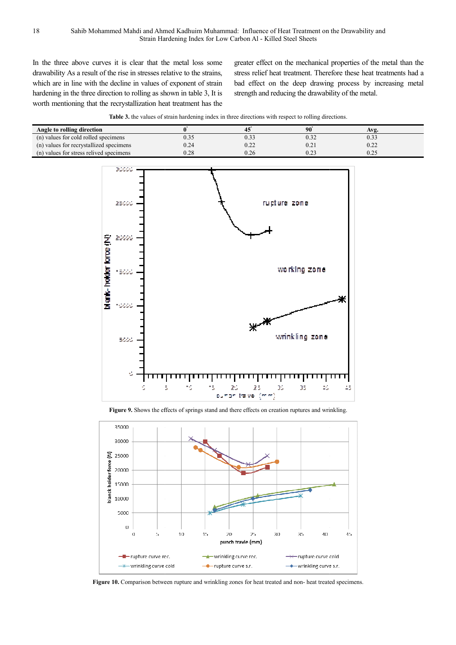In the three above curves it is clear that the metal loss some drawability As a result of the rise in stresses relative to the strains, which are in line with the decline in values of exponent of strain hardening in the three direction to rolling as shown in table 3, It is worth mentioning that the recrystallization heat treatment has the

greater effect on the mechanical properties of the metal than the stress relief heat treatment. Therefore these heat treatments had a bad effect on the deep drawing process by increasing metal strength and reducing the drawability of the metal.



| Angle to rolling direction              |      |              | 90   | Avg. |
|-----------------------------------------|------|--------------|------|------|
| (n) values for cold rolled specimens    |      | U.S.         |      |      |
| (n) values for recrystallized specimens | ).24 | ስ ኃኃ<br>V.ZZ | 0.2  | 0.22 |
| (n) values for stress relived specimens | ).28 | 0.26         | 0.23 |      |



**Figure 9.** Shows the effects of springs stand and there effects on creation ruptures and wrinkling.



Figure 10. Comparison between rupture and wrinkling zones for heat treated and non- heat treated specimens.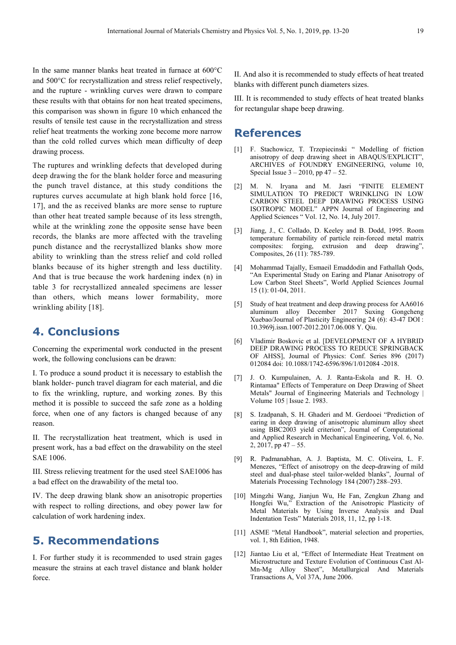In the same manner blanks heat treated in furnace at 600°C and 500°C for recrystallization and stress relief respectively, and the rupture - wrinkling curves were drawn to compare these results with that obtains for non heat treated specimens, this comparison was shown in figure 10 which enhanced the results of tensile test cause in the recrystallization and stress relief heat treatments the working zone become more narrow than the cold rolled curves which mean difficulty of deep drawing process.

The ruptures and wrinkling defects that developed during deep drawing the for the blank holder force and measuring the punch travel distance, at this study conditions the ruptures curves accumulate at high blank hold force [16, 17], and the as received blanks are more sense to rupture than other heat treated sample because of its less strength, while at the wrinkling zone the opposite sense have been records, the blanks are more affected with the traveling punch distance and the recrystallized blanks show more ability to wrinkling than the stress relief and cold rolled blanks because of its higher strength and less ductility. And that is true because the work hardening index (n) in table 3 for recrystallized annealed specimens are lesser than others, which means lower formability, more wrinkling ability [18].

# **4. Conclusions**

Concerning the experimental work conducted in the present work, the following conclusions can be drawn:

I. To produce a sound product it is necessary to establish the blank holder- punch travel diagram for each material, and die to fix the wrinkling, rupture, and working zones. By this method it is possible to succeed the safe zone as a holding force, when one of any factors is changed because of any reason.

II. The recrystallization heat treatment, which is used in present work, has a bad effect on the drawability on the steel SAE 1006.

III. Stress relieving treatment for the used steel SAE1006 has a bad effect on the drawability of the metal too.

IV. The deep drawing blank show an anisotropic properties with respect to rolling directions, and obey power law for calculation of work hardening index.

# **5. Recommendations**

I. For further study it is recommended to used strain gages measure the strains at each travel distance and blank holder force.

II. And also it is recommended to study effects of heat treated blanks with different punch diameters sizes.

III. It is recommended to study effects of heat treated blanks for rectangular shape beep drawing.

### **References**

- [1] F. Stachowicz, T. Trzepiecinski " Modelling of friction anisotropy of deep drawing sheet in ABAQUS/EXPLICIT", ARCHIVES of FOUNDRY ENGINEERING, volume 10, Special Issue  $3 - 2010$ , pp  $47 - 52$ .
- [2] M. N. Iryana and M. Jasri "FINITE ELEMENT SIMULATION TO PREDICT WRINKLING IN LOW CARBON STEEL DEEP DRAWING PROCESS USING ISOTROPIC MODEL" APPN Journal of Engineering and Applied Sciences " Vol. 12, No. 14, July 2017.
- [3] Jiang, J., C. Collado, D. Keeley and B. Dodd, 1995. Room temperature formability of particle rein-forced metal matrix composites: forging, extrusion and deep drawing", Composites, 26 (11): 785-789.
- [4] Mohammad Tajally, Esmaeil Emaddodin and Fathallah Qods, "An Experimental Study on Earing and Planar Anisotropy of Low Carbon Steel Sheets", World Applied Sciences Journal 15 (1): 01-04, 2011.
- [5] Study of heat treatment and deep drawing process for AA6016 aluminum alloy December 2017 Suxing Gongcheng Xuebao/Journal of Plasticity Engineering 24 (6): 43-47 DOI : 10.3969j.issn.1007-2012.2017.06.008 Y. Qiu.
- [6] Vladimir Boskovic et al. [DEVELOPMENT OF A HYBRID DEEP DRAWING PROCESS TO REDUCE SPRINGBACK OF AHSS], Journal of Physics: Conf. Series 896 (2017) 012084 doi: 10.1088/1742-6596/896/1/012084 -2018.
- [7] J. O. Kumpulainen, A. J. Ranta-Eskola and R. H. O. Rintamaa" Effects of Temperature on Deep Drawing of Sheet Metals" Journal of Engineering Materials and Technology | Volume 105 | Issue 2. 1983.
- [8] S. Izadpanah, S. H. Ghaderi and M. Gerdooei "Prediction of earing in deep drawing of anisotropic aluminum alloy sheet using BBC2003 yield criterion", Journal of Computational and Applied Research in Mechanical Engineering, Vol. 6, No. 2, 2017, pp 47 – 55.
- [9] R. Padmanabhan, A. J. Baptista, M. C. Oliveira, L. F. Menezes, "Effect of anisotropy on the deep-drawing of mild steel and dual-phase steel tailor-welded blanks", Journal of Materials Processing Technology 184 (2007) 288–293.
- [10] Mingzhi Wang, Jianjun Wu, He Fan, Zengkun Zhang and Hongfei Wu," Extraction of the Anisotropic Plasticity of Metal Materials by Using Inverse Analysis and Dual Indentation Tests" Materials 2018, 11, 12, pp 1-18.
- [11] ASME "Metal Handbook", material selection and properties, vol. 1, 8th Edition, 1948.
- [12] Jiantao Liu et al, "Effect of Intermediate Heat Treatment on Microstructure and Texture Evolution of Continuous Cast Al-Mn-Mg Alloy Sheet", Metallurgical And Materials Transactions A, Vol 37A, June 2006.